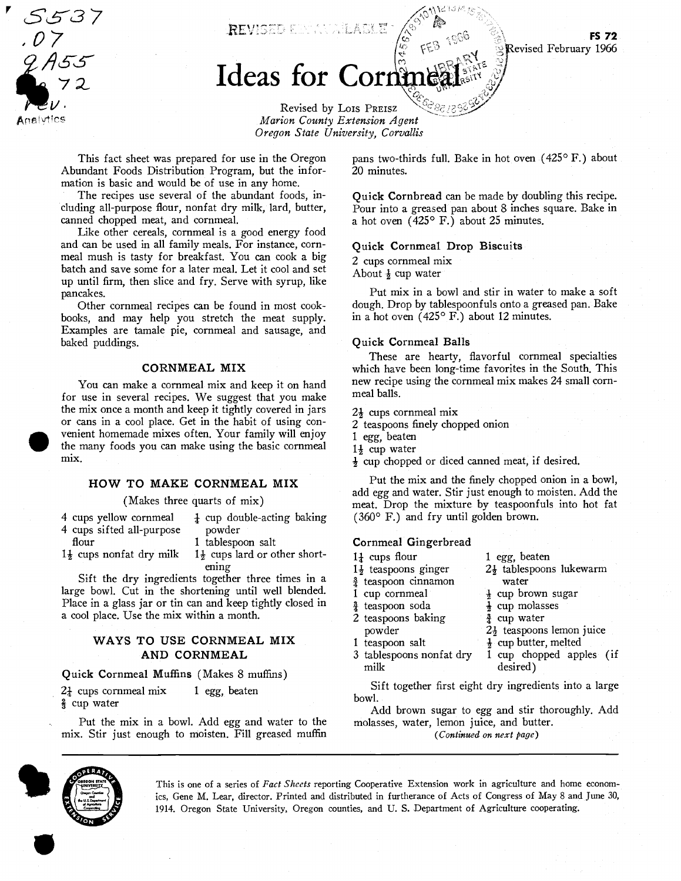LS537 07 nalvtics

REVISED EBRATALAGLE

# Ideas for Cor

Revised by Lois PREIsz Marion County Extension Agent Oregon State University, Corvallis

This fact sheet was prepared for use in the Oregon Abundant Foods Distribution Program, but the information is basic and would be of use in any home.

The recipes use several of the abundant foods, including all-purpose flour, nonfat dry milk, lard, butter, canned chopped meat, and cornmeal.

Like other cereals, cornmeal is a good energy food and can be used in all family meals. For instance, cornmeal mush is tasty for breakfast. You can cook a big batch and save some for a later meal. Let it cool and set up until firm, then slice and fry. Serve with syrup, like pancakes.

Other cornmeal recipes can be found in most cookbooks, and may help you stretch the meat supply. Examples are tamale pie, cornmeal and sausage, and baked puddings.

#### CORNMEAL MIX

You can make a cornmeal mix and keep it on hand for use in several recipes. We suggest that you make the mix once a month and keep it tightly covered in jars or cans in a cool place. Get in the habit of using convenient homemade mixes often. Your family will enjoy the many foods you can make using the basic cornmeal mix.

# HOW TO MAKE CORNMEAL MIX

(Makes three quarts of mix)

4 cups yellow cornmeal  $\frac{1}{4}$  cup double-acting baking<br>4 cups sifted all-purpose powder 4 cups sifted all-purpose

- 
- 
- 

flour 1 tablespoon salt<br>1<sup>1</sup>/<sub>2</sub> cups nonfat dry milk 1<sup>1</sup>/<sub>2</sub> cups lard or our

 $1\frac{1}{2}$  cups lard or other shortening

 $\frac{\text{ening}}{\text{Sift}}$  the dry ingredients together three times in a  $\frac{1}{3}$  teaspoon cinnamor large bowl. Cut in the shortening until well blended. 1 cup cornmeal Place in a glass jar or tin can and keep tightly closed in  $\frac{3}{4}$  teaspoon soda a cool place. Use the mix within a month.

# ways to USE CORNMEAL MIX and the powder of the powder AND CORNMEAL

Quick Cornmeal Muffins (Makes 8 muffins)

 $2\frac{1}{4}$  cups cornmeal mix 1 egg, beaten cup water

Put the mix in a bowl. Add egg and water to the mix. Stir just enough to moisten. Fill greased muffin pans two-thirds full. Bake in hot oven  $(425^{\circ} F.)$  about 20 minutes.

Quick Cornbread can be made by doubling this recipe. Pour into a greased pan about 8 inches square. Bake in a hot oven (425° F.) about 25 minutes.

#### Quick Cornmeal Drop Biscuits

2 cups cornmeal mix About  $\frac{1}{2}$  cup water

Put mix in a bowl and stir in water to make a soft dough. Drop by tablespoonfuls onto a greased pan. Bake in a hot oven (425° F.) about 12 minutes.

#### Quick Cornmeal Balls

These are hearty, flavorful cornmeal specialties which have been long-time favorites in the South. This new recipe using the cornmeal mix makes 24 small cornmeal balls.

 $2\frac{1}{2}$  cups cornmeal mix

- 2 teaspoons finely chopped onion
- 1 egg, beaten
- 1<sup>3</sup> cup water
- $\frac{1}{2}$  cup chopped or diced canned meat, if desired.

Put the mix and the finely chopped onion in a bowl, add egg and water. Stir just enough to moisten. Add the meat. Drop the mixture by teaspoonfuls into hot fat (360° F.) and fry until golden brown.

### Cornmeal Gingerbread

- $1\frac{1}{4}$  cups flour 1 egg, beaten
	-
- $\frac{3}{4}$  teaspoon cinnamon water
	-

cup brown sugar

- $\frac{1}{2}$  cup molasses<br> $\frac{3}{4}$  cup water
- $2\frac{1}{2}$  teaspoons lemon juice
- 

 $\overline{2}$  teaspoons baking

- 1 teaspoon salt  $\frac{1}{2}$  cup butter, melted<br>3 tablespoons nonfat dry 1 cup chopped app
	- 1 cup chopped apples (if milk desired)

 $2\frac{1}{2}$  tablespoons lukewarm

Sift together first eight dry ingredients into a large bowl.

Add brown sugar to egg and stir thoroughly. Add molasses, water, lemon juice, and butter.

(Continued on next page)



This is one of a series of Fact Sheets reporting Cooperative Extension work in agriculture and home economics, Gene M. Lear, director. Printed and distributed in furtherance of Acts of Congress of May 8 and June 30, 1914. Oregon State University, Oregon counties, and U. S. Department of Agriculture cooperating.